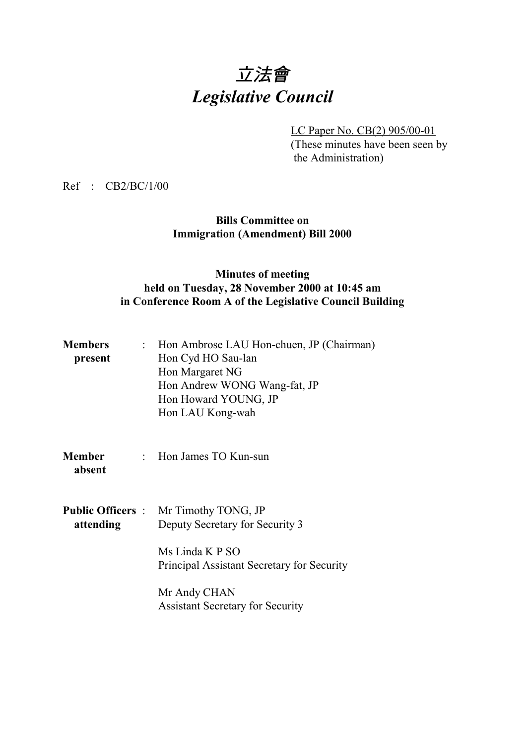# 立法會 *Legislative Council*

LC Paper No. CB(2) 905/00-01 (These minutes have been seen by the Administration)

Ref : CB2/BC/1/00

### **Bills Committee on Immigration (Amendment) Bill 2000**

### **Minutes of meeting held on Tuesday, 28 November 2000 at 10:45 am in Conference Room A of the Legislative Council Building**

| <b>Members</b><br>present | : Hon Ambrose LAU Hon-chuen, JP (Chairman)<br>Hon Cyd HO Sau-lan<br>Hon Margaret NG<br>Hon Andrew WONG Wang-fat, JP<br>Hon Howard YOUNG, JP<br>Hon LAU Kong-wah |
|---------------------------|-----------------------------------------------------------------------------------------------------------------------------------------------------------------|
| <b>Member</b><br>absent   | : Hon James TO Kun-sun                                                                                                                                          |
| attending                 | <b>Public Officers</b> : Mr Timothy TONG, JP<br>Deputy Secretary for Security 3<br>Ms Linda K P SO<br>Principal Assistant Secretary for Security                |
|                           | Mr Andy CHAN<br><b>Assistant Secretary for Security</b>                                                                                                         |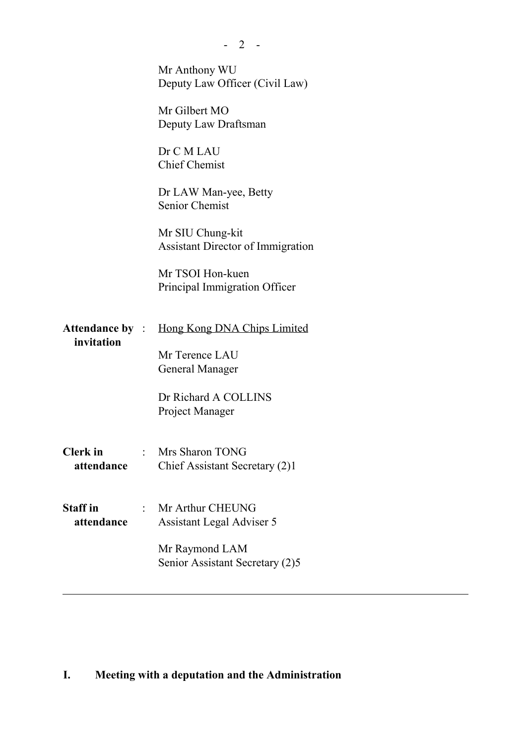|                               | $-2$ -                                                       |
|-------------------------------|--------------------------------------------------------------|
|                               | Mr Anthony WU<br>Deputy Law Officer (Civil Law)              |
|                               | Mr Gilbert MO<br>Deputy Law Draftsman                        |
|                               | Dr C M LAU<br><b>Chief Chemist</b>                           |
|                               | Dr LAW Man-yee, Betty<br><b>Senior Chemist</b>               |
|                               | Mr SIU Chung-kit<br><b>Assistant Director of Immigration</b> |
|                               | Mr TSOI Hon-kuen<br>Principal Immigration Officer            |
| invitation                    | <b>Attendance by :</b> Hong Kong DNA Chips Limited           |
|                               | Mr Terence LAU<br>General Manager                            |
|                               | Dr Richard A COLLINS<br>Project Manager                      |
| <b>Clerk</b> in<br>attendance | : Mrs Sharon TONG<br>Chief Assistant Secretary (2)1          |
| <b>Staff</b> in<br>attendance | Mr Arthur CHEUNG<br><b>Assistant Legal Adviser 5</b>         |
|                               | Mr Raymond LAM<br>Senior Assistant Secretary (2)5            |
|                               |                                                              |

## **I. Meeting with a deputation and the Administration**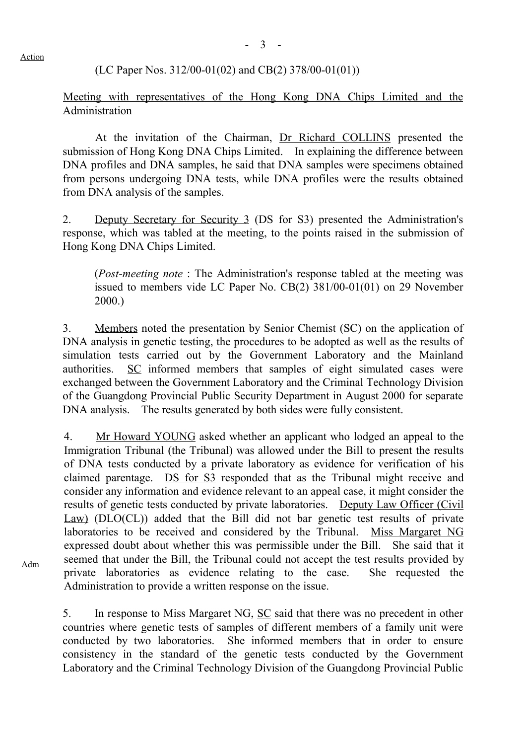### (LC Paper Nos. 312/00-01(02) and CB(2) 378/00-01(01))

### Meeting with representatives of the Hong Kong DNA Chips Limited and the Administration

At the invitation of the Chairman, Dr Richard COLLINS presented the submission of Hong Kong DNA Chips Limited. In explaining the difference between DNA profiles and DNA samples, he said that DNA samples were specimens obtained from persons undergoing DNA tests, while DNA profiles were the results obtained from DNA analysis of the samples.

2. Deputy Secretary for Security 3 (DS for S3) presented the Administration's response, which was tabled at the meeting, to the points raised in the submission of Hong Kong DNA Chips Limited.

(*Post-meeting note* : The Administration's response tabled at the meeting was issued to members vide LC Paper No. CB(2) 381/00-01(01) on 29 November 2000.)

3. Members noted the presentation by Senior Chemist (SC) on the application of DNA analysis in genetic testing, the procedures to be adopted as well as the results of simulation tests carried out by the Government Laboratory and the Mainland authorities. SC informed members that samples of eight simulated cases were exchanged between the Government Laboratory and the Criminal Technology Division of the Guangdong Provincial Public Security Department in August 2000 for separate DNA analysis. The results generated by both sides were fully consistent.

4. Mr Howard YOUNG asked whether an applicant who lodged an appeal to the Immigration Tribunal (the Tribunal) was allowed under the Bill to present the results of DNA tests conducted by a private laboratory as evidence for verification of his claimed parentage. DS for S3 responded that as the Tribunal might receive and consider any information and evidence relevant to an appeal case, it might consider the results of genetic tests conducted by private laboratories. Deputy Law Officer (Civil Law) (DLO(CL)) added that the Bill did not bar genetic test results of private laboratories to be received and considered by the Tribunal. Miss Margaret NG expressed doubt about whether this was permissible under the Bill. She said that it seemed that under the Bill, the Tribunal could not accept the test results provided by private laboratories as evidence relating to the case. She requested the Administration to provide a written response on the issue.

5. In response to Miss Margaret NG, SC said that there was no precedent in other countries where genetic tests of samples of different members of a family unit were conducted by two laboratories. She informed members that in order to ensure consistency in the standard of the genetic tests conducted by the Government Laboratory and the Criminal Technology Division of the Guangdong Provincial Public

Action

Adm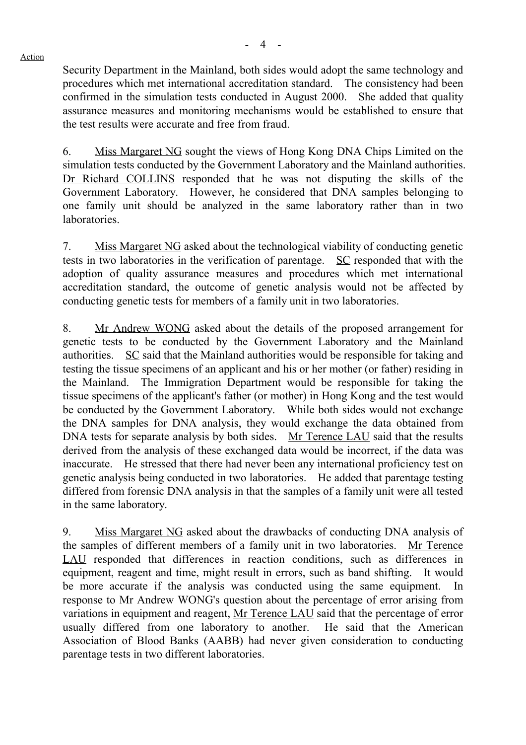Security Department in the Mainland, both sides would adopt the same technology and procedures which met international accreditation standard. The consistency had been confirmed in the simulation tests conducted in August 2000. She added that quality assurance measures and monitoring mechanisms would be established to ensure that the test results were accurate and free from fraud.

6. Miss Margaret NG sought the views of Hong Kong DNA Chips Limited on the simulation tests conducted by the Government Laboratory and the Mainland authorities. Dr Richard COLLINS responded that he was not disputing the skills of the Government Laboratory. However, he considered that DNA samples belonging to one family unit should be analyzed in the same laboratory rather than in two laboratories.

7. Miss Margaret NG asked about the technological viability of conducting genetic tests in two laboratories in the verification of parentage. SC responded that with the adoption of quality assurance measures and procedures which met international accreditation standard, the outcome of genetic analysis would not be affected by conducting genetic tests for members of a family unit in two laboratories.

8. Mr Andrew WONG asked about the details of the proposed arrangement for genetic tests to be conducted by the Government Laboratory and the Mainland authorities. SC said that the Mainland authorities would be responsible for taking and testing the tissue specimens of an applicant and his or her mother (or father) residing in the Mainland. The Immigration Department would be responsible for taking the tissue specimens of the applicant's father (or mother) in Hong Kong and the test would be conducted by the Government Laboratory. While both sides would not exchange the DNA samples for DNA analysis, they would exchange the data obtained from DNA tests for separate analysis by both sides. Mr Terence LAU said that the results derived from the analysis of these exchanged data would be incorrect, if the data was inaccurate. He stressed that there had never been any international proficiency test on genetic analysis being conducted in two laboratories. He added that parentage testing differed from forensic DNA analysis in that the samples of a family unit were all tested in the same laboratory.

9. Miss Margaret NG asked about the drawbacks of conducting DNA analysis of the samples of different members of a family unit in two laboratories. Mr Terence LAU responded that differences in reaction conditions, such as differences in equipment, reagent and time, might result in errors, such as band shifting. It would be more accurate if the analysis was conducted using the same equipment. In response to Mr Andrew WONG's question about the percentage of error arising from variations in equipment and reagent, Mr Terence LAU said that the percentage of error usually differed from one laboratory to another. He said that the American Association of Blood Banks (AABB) had never given consideration to conducting parentage tests in two different laboratories.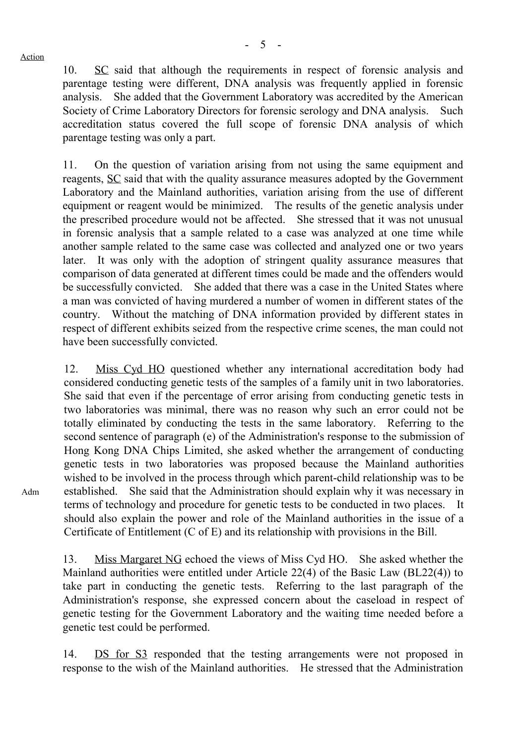Adm

10. SC said that although the requirements in respect of forensic analysis and parentage testing were different, DNA analysis was frequently applied in forensic analysis. She added that the Government Laboratory was accredited by the American Society of Crime Laboratory Directors for forensic serology and DNA analysis. Such accreditation status covered the full scope of forensic DNA analysis of which parentage testing was only a part.

11. On the question of variation arising from not using the same equipment and reagents, SC said that with the quality assurance measures adopted by the Government Laboratory and the Mainland authorities, variation arising from the use of different equipment or reagent would be minimized. The results of the genetic analysis under the prescribed procedure would not be affected. She stressed that it was not unusual in forensic analysis that a sample related to a case was analyzed at one time while another sample related to the same case was collected and analyzed one or two years later. It was only with the adoption of stringent quality assurance measures that comparison of data generated at different times could be made and the offenders would be successfully convicted. She added that there was a case in the United States where a man was convicted of having murdered a number of women in different states of the country. Without the matching of DNA information provided by different states in respect of different exhibits seized from the respective crime scenes, the man could not have been successfully convicted.

12. Miss Cyd HO questioned whether any international accreditation body had considered conducting genetic tests of the samples of a family unit in two laboratories. She said that even if the percentage of error arising from conducting genetic tests in two laboratories was minimal, there was no reason why such an error could not be totally eliminated by conducting the tests in the same laboratory. Referring to the second sentence of paragraph (e) of the Administration's response to the submission of Hong Kong DNA Chips Limited, she asked whether the arrangement of conducting genetic tests in two laboratories was proposed because the Mainland authorities wished to be involved in the process through which parent-child relationship was to be established. She said that the Administration should explain why it was necessary in terms of technology and procedure for genetic tests to be conducted in two places. It should also explain the power and role of the Mainland authorities in the issue of a Certificate of Entitlement (C of E) and its relationship with provisions in the Bill.

13. Miss Margaret NG echoed the views of Miss Cyd HO. She asked whether the Mainland authorities were entitled under Article 22(4) of the Basic Law (BL22(4)) to take part in conducting the genetic tests. Referring to the last paragraph of the Administration's response, she expressed concern about the caseload in respect of genetic testing for the Government Laboratory and the waiting time needed before a genetic test could be performed.

14. DS for S3 responded that the testing arrangements were not proposed in response to the wish of the Mainland authorities. He stressed that the Administration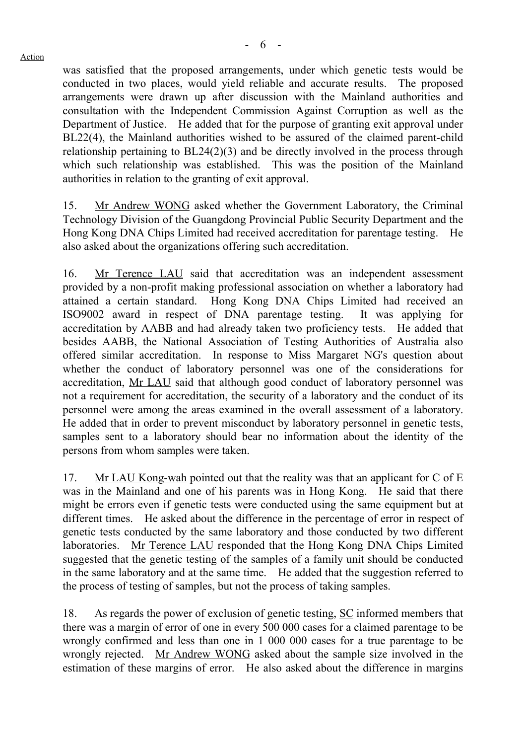was satisfied that the proposed arrangements, under which genetic tests would be conducted in two places, would yield reliable and accurate results. The proposed arrangements were drawn up after discussion with the Mainland authorities and consultation with the Independent Commission Against Corruption as well as the Department of Justice. He added that for the purpose of granting exit approval under BL22(4), the Mainland authorities wished to be assured of the claimed parent-child relationship pertaining to BL24(2)(3) and be directly involved in the process through which such relationship was established. This was the position of the Mainland authorities in relation to the granting of exit approval.

15. Mr Andrew WONG asked whether the Government Laboratory, the Criminal Technology Division of the Guangdong Provincial Public Security Department and the Hong Kong DNA Chips Limited had received accreditation for parentage testing. He also asked about the organizations offering such accreditation.

16. Mr Terence LAU said that accreditation was an independent assessment provided by a non-profit making professional association on whether a laboratory had attained a certain standard. Hong Kong DNA Chips Limited had received an ISO9002 award in respect of DNA parentage testing. It was applying for accreditation by AABB and had already taken two proficiency tests. He added that besides AABB, the National Association of Testing Authorities of Australia also offered similar accreditation. In response to Miss Margaret NG's question about whether the conduct of laboratory personnel was one of the considerations for accreditation, Mr LAU said that although good conduct of laboratory personnel was not a requirement for accreditation, the security of a laboratory and the conduct of its personnel were among the areas examined in the overall assessment of a laboratory. He added that in order to prevent misconduct by laboratory personnel in genetic tests, samples sent to a laboratory should bear no information about the identity of the persons from whom samples were taken.

17. Mr LAU Kong-wah pointed out that the reality was that an applicant for C of E was in the Mainland and one of his parents was in Hong Kong. He said that there might be errors even if genetic tests were conducted using the same equipment but at different times. He asked about the difference in the percentage of error in respect of genetic tests conducted by the same laboratory and those conducted by two different laboratories. Mr Terence LAU responded that the Hong Kong DNA Chips Limited suggested that the genetic testing of the samples of a family unit should be conducted in the same laboratory and at the same time. He added that the suggestion referred to the process of testing of samples, but not the process of taking samples.

18. As regards the power of exclusion of genetic testing, SC informed members that there was a margin of error of one in every 500 000 cases for a claimed parentage to be wrongly confirmed and less than one in 1 000 000 cases for a true parentage to be wrongly rejected. Mr Andrew WONG asked about the sample size involved in the estimation of these margins of error. He also asked about the difference in margins